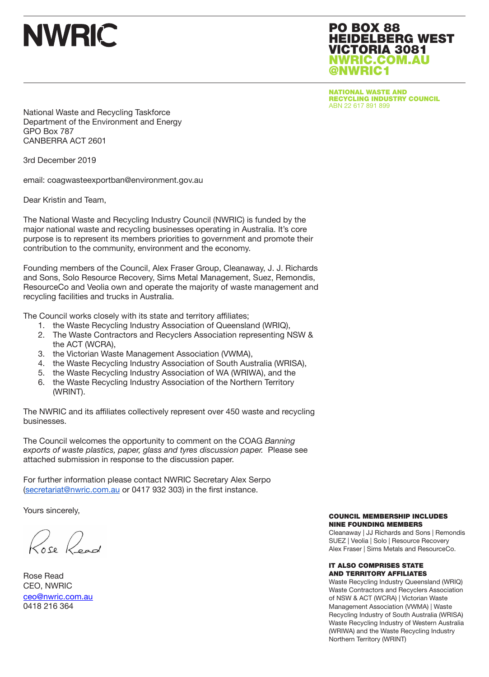PO BOX 88 HEIDELBERG WEST VICTORIA 3081 NWRIC.COM.AU @NWRIC1

NATIONAL WASTE AND RECYCLING INDUSTRY COUNCIL ABN 22 617 891 899

National Waste and Recycling Taskforce Department of the Environment and Energy GPO Box 787 CANBERRA ACT 2601

3rd December 2019

email: coagwasteexportban@environment.gov.au

Dear Kristin and Team,

The National Waste and Recycling Industry Council (NWRIC) is funded by the major national waste and recycling businesses operating in Australia. It's core purpose is to represent its members priorities to government and promote their contribution to the community, environment and the economy.

Founding members of the Council, Alex Fraser Group, Cleanaway, J. J. Richards and Sons, Solo Resource Recovery, Sims Metal Management, Suez, Remondis, ResourceCo and Veolia own and operate the majority of waste management and recycling facilities and trucks in Australia.

The Council works closely with its state and territory affiliates;

- 1. the Waste Recycling Industry Association of Queensland (WRIQ),
- 2. The Waste Contractors and Recyclers Association representing NSW & the ACT (WCRA),
- 3. the Victorian Waste Management Association (VWMA),
- 4. the Waste Recycling Industry Association of South Australia (WRISA),
- 5. the Waste Recycling Industry Association of WA (WRIWA), and the
- 6. the Waste Recycling Industry Association of the Northern Territory (WRINT).

The NWRIC and its affiliates collectively represent over 450 waste and recycling businesses.

The Council welcomes the opportunity to comment on the COAG *Banning exports of waste plastics, paper, glass and tyres discussion paper.* Please see attached submission in response to the discussion paper.

For further information please contact NWRIC Secretary Alex Serpo (secretariat@nwric.com.au or 0417 932 303) in the first instance.

Yours sincerely,

Rose Read

Rose Read CEO, NWRIC ceo@nwric.com.au 0418 216 364

#### COUNCIL MEMBERSHIP INCLUDES NINE FOUNDING MEMBERS

Cleanaway | JJ Richards and Sons | Remondis SUEZ | Veolia | Solo | Resource Recovery Alex Fraser | Sims Metals and ResourceCo.

#### IT ALSO COMPRISES STATE AND TERRITORY AFFILIATES

Waste Recycling Industry Queensland (WRIQ) Waste Contractors and Recyclers Association of NSW & ACT (WCRA) | Victorian Waste Management Association (VWMA) | Waste Recycling Industry of South Australia (WRISA) Waste Recycling Industry of Western Australia (WRIWA) and the Waste Recycling Industry Northern Territory (WRINT)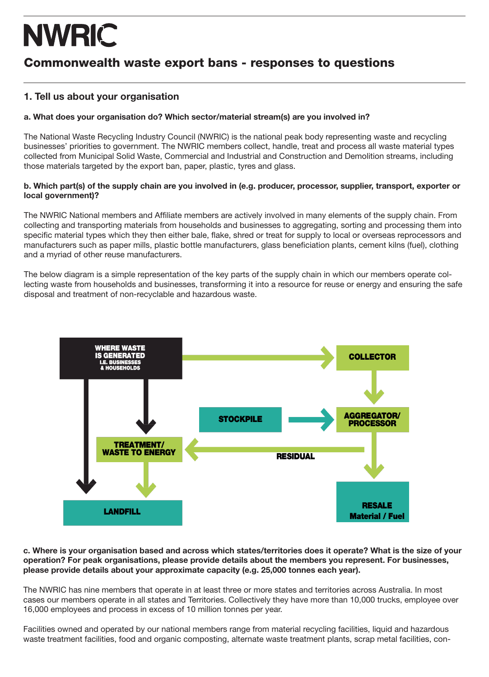## Commonwealth waste export bans - responses to questions

### 1. Tell us about your organisation

### a. What does your organisation do? Which sector/material stream(s) are you involved in?

The National Waste Recycling Industry Council (NWRIC) is the national peak body representing waste and recycling businesses' priorities to government. The NWRIC members collect, handle, treat and process all waste material types collected from Municipal Solid Waste, Commercial and Industrial and Construction and Demolition streams, including those materials targeted by the export ban, paper, plastic, tyres and glass.

#### b. Which part(s) of the supply chain are you involved in (e.g. producer, processor, supplier, transport, exporter or local government)?

The NWRIC National members and Affiliate members are actively involved in many elements of the supply chain. From collecting and transporting materials from households and businesses to aggregating, sorting and processing them into specific material types which they then either bale, flake, shred or treat for supply to local or overseas reprocessors and manufacturers such as paper mills, plastic bottle manufacturers, glass beneficiation plants, cement kilns (fuel), clothing and a myriad of other reuse manufacturers.

The below diagram is a simple representation of the key parts of the supply chain in which our members operate collecting waste from households and businesses, transforming it into a resource for reuse or energy and ensuring the safe disposal and treatment of non-recyclable and hazardous waste.



#### c. Where is your organisation based and across which states/territories does it operate? What is the size of your operation? For peak organisations, please provide details about the members you represent. For businesses, please provide details about your approximate capacity (e.g. 25,000 tonnes each year).

The NWRIC has nine members that operate in at least three or more states and territories across Australia. In most cases our members operate in all states and Territories. Collectively they have more than 10,000 trucks, employee over 16,000 employees and process in excess of 10 million tonnes per year.

Facilities owned and operated by our national members range from material recycling facilities, liquid and hazardous waste treatment facilities, food and organic composting, alternate waste treatment plants, scrap metal facilities, con-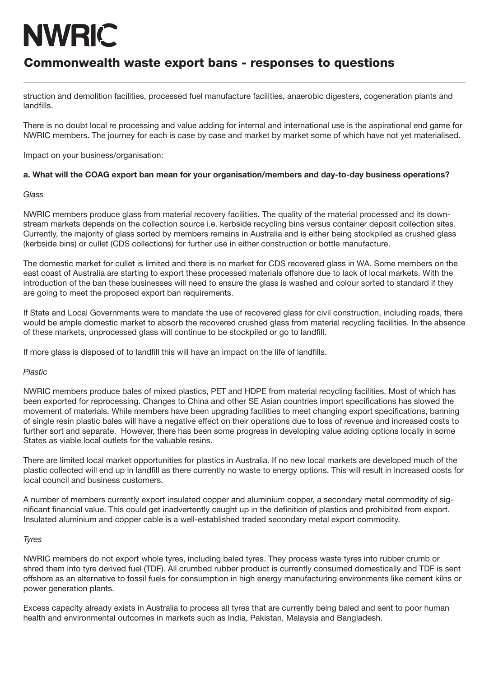## Commonwealth waste export bans - responses to questions

struction and demolition facilities, processed fuel manufacture facilities, anaerobic digesters, cogeneration plants and landfills.

There is no doubt local re processing and value adding for internal and international use is the aspirational end game for NWRIC members. The journey for each is case by case and market by market some of which have not yet materialised.

Impact on your business/organisation:

#### a. What will the COAG export ban mean for your organisation/members and day-to-day business operations?

#### *Glass*

NWRIC members produce glass from material recovery facilities. The quality of the material processed and its downstream markets depends on the collection source i.e. kerbside recycling bins versus container deposit collection sites. Currently, the majority of glass sorted by members remains in Australia and is either being stockpiled as crushed glass (kerbside bins) or cullet (CDS collections) for further use in either construction or bottle manufacture.

The domestic market for cullet is limited and there is no market for CDS recovered glass in WA. Some members on the east coast of Australia are starting to export these processed materials offshore due to lack of local markets. With the introduction of the ban these businesses will need to ensure the glass is washed and colour sorted to standard if they are going to meet the proposed export ban requirements.

If State and Local Governments were to mandate the use of recovered glass for civil construction, including roads, there would be ample domestic market to absorb the recovered crushed glass from material recycling facilities. In the absence of these markets, unprocessed glass will continue to be stockpiled or go to landfill.

If more glass is disposed of to landfill this will have an impact on the life of landfills.

#### *Plastic*

NWRIC members produce bales of mixed plastics, PET and HDPE from material recycling facilities. Most of which has been exported for reprocessing. Changes to China and other SE Asian countries import specifications has slowed the movement of materials. While members have been upgrading facilities to meet changing export specifications, banning of single resin plastic bales will have a negative effect on their operations due to loss of revenue and increased costs to further sort and separate. However, there has been some progress in developing value adding options locally in some States as viable local outlets for the valuable resins.

There are limited local market opportunities for plastics in Australia. If no new local markets are developed much of the plastic collected will end up in landfill as there currently no waste to energy options. This will result in increased costs for local council and business customers.

A number of members currently export insulated copper and aluminium copper, a secondary metal commodity of significant financial value. This could get inadvertently caught up in the definition of plastics and prohibited from export. Insulated aluminium and copper cable is a well-established traded secondary metal export commodity.

#### *Tyres*

NWRIC members do not export whole tyres, including baled tyres. They process waste tyres into rubber crumb or shred them into tyre derived fuel (TDF). All crumbed rubber product is currently consumed domestically and TDF is sent offshore as an alternative to fossil fuels for consumption in high energy manufacturing environments like cement kilns or power generation plants.

Excess capacity already exists in Australia to process all tyres that are currently being baled and sent to poor human health and environmental outcomes in markets such as India, Pakistan, Malaysia and Bangladesh.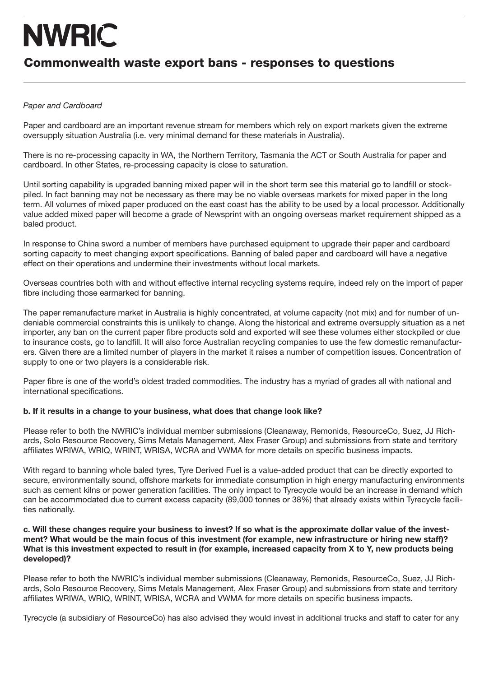### Commonwealth waste export bans - responses to questions

### *Paper and Cardboard*

Paper and cardboard are an important revenue stream for members which rely on export markets given the extreme oversupply situation Australia (i.e. very minimal demand for these materials in Australia).

There is no re-processing capacity in WA, the Northern Territory, Tasmania the ACT or South Australia for paper and cardboard. In other States, re-processing capacity is close to saturation.

Until sorting capability is upgraded banning mixed paper will in the short term see this material go to landfill or stockpiled. In fact banning may not be necessary as there may be no viable overseas markets for mixed paper in the long term. All volumes of mixed paper produced on the east coast has the ability to be used by a local processor. Additionally value added mixed paper will become a grade of Newsprint with an ongoing overseas market requirement shipped as a baled product.

In response to China sword a number of members have purchased equipment to upgrade their paper and cardboard sorting capacity to meet changing export specifications. Banning of baled paper and cardboard will have a negative effect on their operations and undermine their investments without local markets.

Overseas countries both with and without effective internal recycling systems require, indeed rely on the import of paper fibre including those earmarked for banning.

The paper remanufacture market in Australia is highly concentrated, at volume capacity (not mix) and for number of undeniable commercial constraints this is unlikely to change. Along the historical and extreme oversupply situation as a net importer, any ban on the current paper fibre products sold and exported will see these volumes either stockpiled or due to insurance costs, go to landfill. It will also force Australian recycling companies to use the few domestic remanufacturers. Given there are a limited number of players in the market it raises a number of competition issues. Concentration of supply to one or two players is a considerable risk.

Paper fibre is one of the world's oldest traded commodities. The industry has a myriad of grades all with national and international specifications.

#### b. If it results in a change to your business, what does that change look like?

Please refer to both the NWRIC's individual member submissions (Cleanaway, Remonids, ResourceCo, Suez, JJ Richards, Solo Resource Recovery, Sims Metals Management, Alex Fraser Group) and submissions from state and territory affiliates WRIWA, WRIQ, WRINT, WRISA, WCRA and VWMA for more details on specific business impacts.

With regard to banning whole baled tyres, Tyre Derived Fuel is a value-added product that can be directly exported to secure, environmentally sound, offshore markets for immediate consumption in high energy manufacturing environments such as cement kilns or power generation facilities. The only impact to Tyrecycle would be an increase in demand which can be accommodated due to current excess capacity (89,000 tonnes or 38%) that already exists within Tyrecycle facilities nationally.

#### c. Will these changes require your business to invest? If so what is the approximate dollar value of the investment? What would be the main focus of this investment (for example, new infrastructure or hiring new staff)? What is this investment expected to result in (for example, increased capacity from X to Y, new products being developed)?

Please refer to both the NWRIC's individual member submissions (Cleanaway, Remonids, ResourceCo, Suez, JJ Richards, Solo Resource Recovery, Sims Metals Management, Alex Fraser Group) and submissions from state and territory affiliates WRIWA, WRIQ, WRINT, WRISA, WCRA and VWMA for more details on specific business impacts.

Tyrecycle (a subsidiary of ResourceCo) has also advised they would invest in additional trucks and staff to cater for any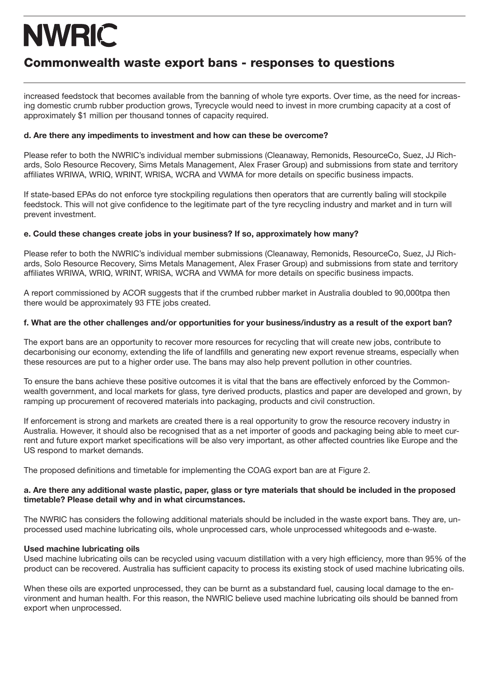## Commonwealth waste export bans - responses to questions

increased feedstock that becomes available from the banning of whole tyre exports. Over time, as the need for increasing domestic crumb rubber production grows, Tyrecycle would need to invest in more crumbing capacity at a cost of approximately \$1 million per thousand tonnes of capacity required.

#### d. Are there any impediments to investment and how can these be overcome?

Please refer to both the NWRIC's individual member submissions (Cleanaway, Remonids, ResourceCo, Suez, JJ Richards, Solo Resource Recovery, Sims Metals Management, Alex Fraser Group) and submissions from state and territory affiliates WRIWA, WRIQ, WRINT, WRISA, WCRA and VWMA for more details on specific business impacts.

If state-based EPAs do not enforce tyre stockpiling regulations then operators that are currently baling will stockpile feedstock. This will not give confidence to the legitimate part of the tyre recycling industry and market and in turn will prevent investment.

#### e. Could these changes create jobs in your business? If so, approximately how many?

Please refer to both the NWRIC's individual member submissions (Cleanaway, Remonids, ResourceCo, Suez, JJ Richards, Solo Resource Recovery, Sims Metals Management, Alex Fraser Group) and submissions from state and territory affiliates WRIWA, WRIQ, WRINT, WRISA, WCRA and VWMA for more details on specific business impacts.

A report commissioned by ACOR suggests that if the crumbed rubber market in Australia doubled to 90,000tpa then there would be approximately 93 FTE jobs created.

#### f. What are the other challenges and/or opportunities for your business/industry as a result of the export ban?

The export bans are an opportunity to recover more resources for recycling that will create new jobs, contribute to decarbonising our economy, extending the life of landfills and generating new export revenue streams, especially when these resources are put to a higher order use. The bans may also help prevent pollution in other countries.

To ensure the bans achieve these positive outcomes it is vital that the bans are effectively enforced by the Commonwealth government, and local markets for glass, tyre derived products, plastics and paper are developed and grown, by ramping up procurement of recovered materials into packaging, products and civil construction.

If enforcement is strong and markets are created there is a real opportunity to grow the resource recovery industry in Australia. However, it should also be recognised that as a net importer of goods and packaging being able to meet current and future export market specifications will be also very important, as other affected countries like Europe and the US respond to market demands.

The proposed definitions and timetable for implementing the COAG export ban are at Figure 2.

#### a. Are there any additional waste plastic, paper, glass or tyre materials that should be included in the proposed timetable? Please detail why and in what circumstances.

The NWRIC has considers the following additional materials should be included in the waste export bans. They are, unprocessed used machine lubricating oils, whole unprocessed cars, whole unprocessed whitegoods and e-waste.

#### Used machine lubricating oils

Used machine lubricating oils can be recycled using vacuum distillation with a very high efficiency, more than 95% of the product can be recovered. Australia has sufficient capacity to process its existing stock of used machine lubricating oils.

When these oils are exported unprocessed, they can be burnt as a substandard fuel, causing local damage to the environment and human health. For this reason, the NWRIC believe used machine lubricating oils should be banned from export when unprocessed.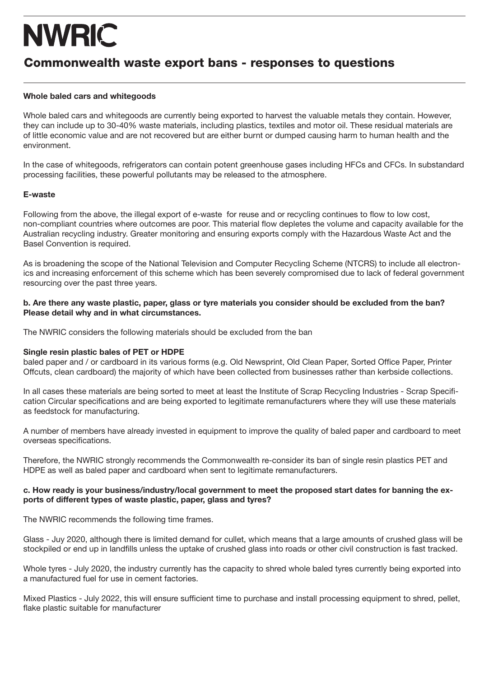### Commonwealth waste export bans - responses to questions

#### Whole baled cars and whitegoods

Whole baled cars and whitegoods are currently being exported to harvest the valuable metals they contain. However, they can include up to 30-40% waste materials, including plastics, textiles and motor oil. These residual materials are of little economic value and are not recovered but are either burnt or dumped causing harm to human health and the environment.

In the case of whitegoods, refrigerators can contain potent greenhouse gases including HFCs and CFCs. In substandard processing facilities, these powerful pollutants may be released to the atmosphere.

#### E-waste

Following from the above, the illegal export of e-waste for reuse and or recycling continues to flow to low cost, non-compliant countries where outcomes are poor. This material flow depletes the volume and capacity available for the Australian recycling industry. Greater monitoring and ensuring exports comply with the Hazardous Waste Act and the Basel Convention is required.

As is broadening the scope of the National Television and Computer Recycling Scheme (NTCRS) to include all electronics and increasing enforcement of this scheme which has been severely compromised due to lack of federal government resourcing over the past three years.

#### b. Are there any waste plastic, paper, glass or tyre materials you consider should be excluded from the ban? Please detail why and in what circumstances.

The NWRIC considers the following materials should be excluded from the ban

#### Single resin plastic bales of PET or HDPE

baled paper and / or cardboard in its various forms (e.g. Old Newsprint, Old Clean Paper, Sorted Office Paper, Printer Offcuts, clean cardboard) the majority of which have been collected from businesses rather than kerbside collections.

In all cases these materials are being sorted to meet at least the Institute of Scrap Recycling Industries - Scrap Specification Circular specifications and are being exported to legitimate remanufacturers where they will use these materials as feedstock for manufacturing.

A number of members have already invested in equipment to improve the quality of baled paper and cardboard to meet overseas specifications.

Therefore, the NWRIC strongly recommends the Commonwealth re-consider its ban of single resin plastics PET and HDPE as well as baled paper and cardboard when sent to legitimate remanufacturers.

#### c. How ready is your business/industry/local government to meet the proposed start dates for banning the exports of different types of waste plastic, paper, glass and tyres?

The NWRIC recommends the following time frames.

Glass - Juy 2020, although there is limited demand for cullet, which means that a large amounts of crushed glass will be stockpiled or end up in landfills unless the uptake of crushed glass into roads or other civil construction is fast tracked.

Whole tyres - July 2020, the industry currently has the capacity to shred whole baled tyres currently being exported into a manufactured fuel for use in cement factories.

Mixed Plastics - July 2022, this will ensure sufficient time to purchase and install processing equipment to shred, pellet, flake plastic suitable for manufacturer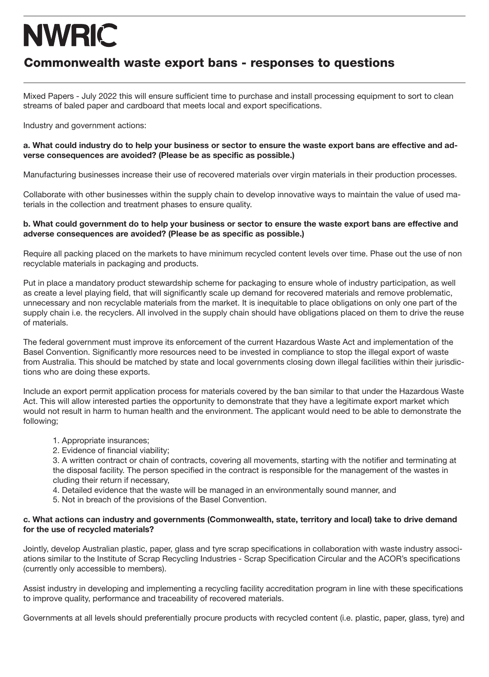### Commonwealth waste export bans - responses to questions

Mixed Papers - July 2022 this will ensure sufficient time to purchase and install processing equipment to sort to clean streams of baled paper and cardboard that meets local and export specifications.

Industry and government actions:

#### a. What could industry do to help your business or sector to ensure the waste export bans are effective and adverse consequences are avoided? (Please be as specific as possible.)

Manufacturing businesses increase their use of recovered materials over virgin materials in their production processes.

Collaborate with other businesses within the supply chain to develop innovative ways to maintain the value of used materials in the collection and treatment phases to ensure quality.

#### b. What could government do to help your business or sector to ensure the waste export bans are effective and adverse consequences are avoided? (Please be as specific as possible.)

Require all packing placed on the markets to have minimum recycled content levels over time. Phase out the use of non recyclable materials in packaging and products.

Put in place a mandatory product stewardship scheme for packaging to ensure whole of industry participation, as well as create a level playing field, that will significantly scale up demand for recovered materials and remove problematic, unnecessary and non recyclable materials from the market. It is inequitable to place obligations on only one part of the supply chain i.e. the recyclers. All involved in the supply chain should have obligations placed on them to drive the reuse of materials.

The federal government must improve its enforcement of the current Hazardous Waste Act and implementation of the Basel Convention. Significantly more resources need to be invested in compliance to stop the illegal export of waste from Australia. This should be matched by state and local governments closing down illegal facilities within their jurisdictions who are doing these exports.

Include an export permit application process for materials covered by the ban similar to that under the Hazardous Waste Act. This will allow interested parties the opportunity to demonstrate that they have a legitimate export market which would not result in harm to human health and the environment. The applicant would need to be able to demonstrate the following;

- 1. Appropriate insurances;
- 2. Evidence of financial viability;

3. A written contract or chain of contracts, covering all movements, starting with the notifier and terminating at the disposal facility. The person specified in the contract is responsible for the management of the wastes in cluding their return if necessary,

- 4. Detailed evidence that the waste will be managed in an environmentally sound manner, and
- 5. Not in breach of the provisions of the Basel Convention.

#### c. What actions can industry and governments (Commonwealth, state, territory and local) take to drive demand for the use of recycled materials?

Jointly, develop Australian plastic, paper, glass and tyre scrap specifications in collaboration with waste industry associations similar to the Institute of Scrap Recycling Industries - Scrap Specification Circular and the ACOR's specifications (currently only accessible to members).

Assist industry in developing and implementing a recycling facility accreditation program in line with these specifications to improve quality, performance and traceability of recovered materials.

Governments at all levels should preferentially procure products with recycled content (i.e. plastic, paper, glass, tyre) and